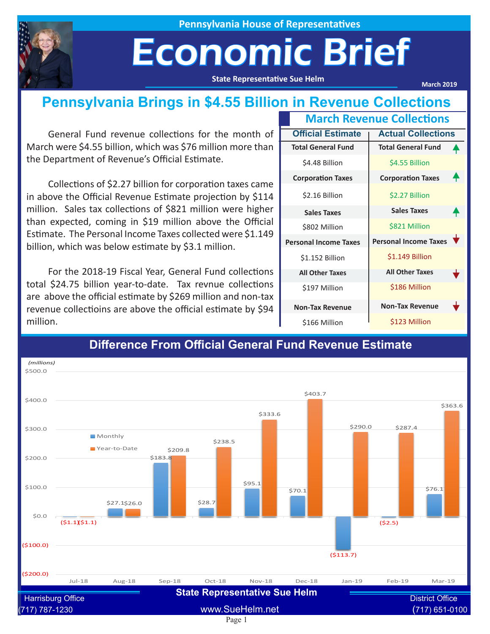

**Pennsylvania House of Representatives**

## Economic Brief

**State Representative Sue Helm**

**March 2019**

#### **Pennsylvania Brings in \$4.55 Billion in Revenue Collections**

General Fund revenue collections for the month of March were \$4.55 billion, which was \$76 million more than the Department of Revenue's Official Estimate.

Collections of \$2.27 billion for corporation taxes came in above the Official Revenue Estimate projection by \$114 million. Sales tax collections of \$821 million were higher than expected, coming in \$19 million above the Official Estimate. The Personal Income Taxes collected were \$1.149 billion, which was below estimate by \$3.1 million.

For the 2018-19 Fiscal Year, General Fund collections total \$24.75 billion year-to-date. Tax revnue collections are above the official estimate by \$269 million and non-tax revenue collectioins are above the official estimate by \$94 million.

|                              | <b>March Revenue Collections</b> |                              |  |
|------------------------------|----------------------------------|------------------------------|--|
|                              | <b>Official Estimate</b>         | <b>Actual Collections</b>    |  |
|                              | <b>Total General Fund</b>        | <b>Total General Fund</b>    |  |
|                              | \$4.48 Billion                   | \$4.55 Billion               |  |
|                              | <b>Corporation Taxes</b>         | <b>Corporation Taxes</b>     |  |
|                              | \$2.16 Billion                   | \$2.27 Billion               |  |
|                              | <b>Sales Taxes</b>               | <b>Sales Taxes</b>           |  |
|                              | \$802 Million                    | \$821 Million                |  |
| <b>Personal Income Taxes</b> |                                  | <b>Personal Income Taxes</b> |  |
|                              | \$1.152 Billion                  | \$1.149 Billion              |  |
|                              | <b>All Other Taxes</b>           | <b>All Other Taxes</b>       |  |
|                              | \$197 Million                    | \$186 Million                |  |
|                              | <b>Non-Tax Revenue</b>           | <b>Non-Tax Revenue</b>       |  |
|                              | \$166 Million                    | \$123 Million                |  |



#### **Difference From Official General Fund Revenue Estimate**